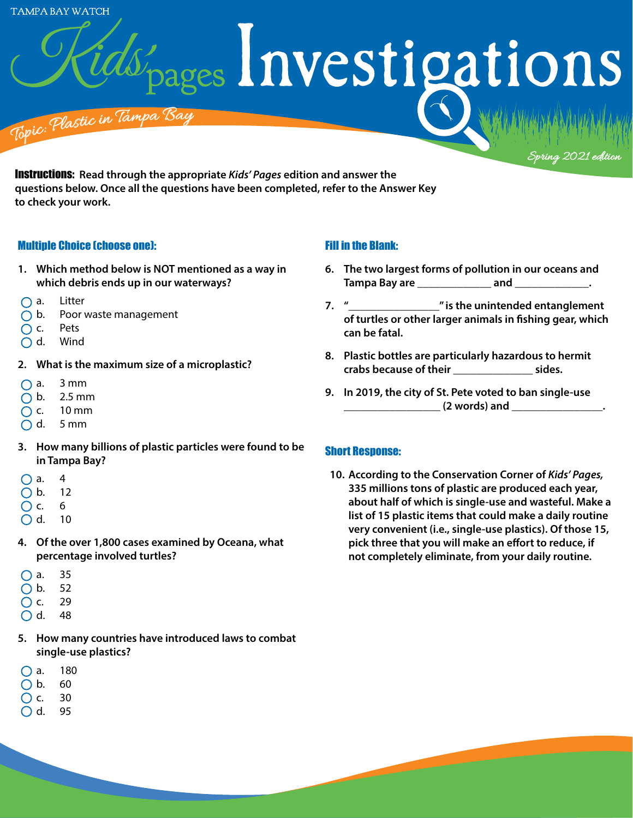**TAMPA BAY WATCH** 

ages Investigations

<sup>T</sup>op<sup>i</sup>c: <sup>P</sup>lasti<sup>c</sup> <sup>i</sup><sup>n</sup> <sup>T</sup>a<sup>m</sup>p<sup>a</sup> <sup>B</sup><sup>a</sup><sup>y</sup> glastic in the T

Instructions: **Read through the appropriate** *Kids' Pages* **edition and answer the questions below. Once all the questions have been completed, refer to the Answer Key to check your work.** 

### Multiple Choice (choose one):

- **1. Which method below is NOT mentioned as a way in which debris ends up in our waterways?**
- $\bigcap$  a. Litter
- $\bigcap$  b. Poor waste management
- $\bigcap$  c. Pets
- d. Wind
- **2. What is the maximum size of a microplastic?**
- $\bigcap$  a. 3 mm
- $\bigcap$  b. 2.5 mm
- $\bigcap$  c. 10 mm
- $\bigcap$  d. 5 mm
- **3. How many billions of plastic particles were found to be in Tampa Bay?**
- $\bigcap$  a. 4
- b. 12
- $\bigcirc$  c. 6
- $O$  d. 10
- **4. Of the over 1,800 cases examined by Oceana, what percentage involved turtles?**
- $\bigcap$  a. 35
- $\bigcap$  b. 52
- $\bigcirc$  c. 29
- $\bigcap$  d. 48
- **5. How many countries have introduced laws to combat single-use plastics?**
- $\bigcap$  a. 180
- $\bigcap$  b. 60
- $\bigcap$  c. 30

### $O$  d. 95

# Fill in the Blank:

**6. The two largest forms of pollution in our oceans and Tampa Bay are and .** 

Spring 2021 edition

- **7. "\_\_\_\_\_\_\_\_\_\_\_\_\_\_\_\_" is the unintended entanglement of turtles or other larger animals in fishing gear, which can be fatal.**
- **8. Plastic bottles are particularly hazardous to hermit crabs because of their \_\_\_\_\_\_\_\_\_\_\_\_\_\_ sides.**
- **9. In 2019, the city of St. Pete voted to ban single-use \_\_\_\_\_\_\_\_\_\_\_\_\_\_\_\_\_ (2 words) and \_\_\_\_\_\_\_\_\_\_\_\_\_\_\_\_.**

## Short Response:

**10. According to the Conservation Corner of** *Kids' Pages,* **335 millions tons of plastic are produced each year, about half of which is single-use and wasteful. Make a list of 15 plastic items that could make a daily routine very convenient (i.e., single-use plastics). Of those 15, pick three that you will make an effort to reduce, if not completely eliminate, from your daily routine.**